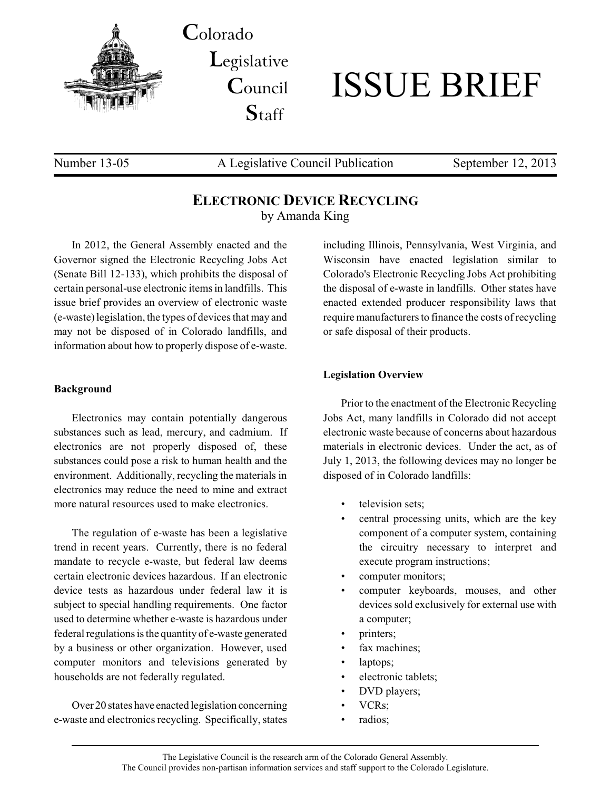

**C**olorado **L**egislative **C**ouncil **S**taff



Number 13-05 A Legislative Council Publication September 12, 2013

# **ELECTRONIC DEVICE RECYCLING** by Amanda King

In 2012, the General Assembly enacted and the Governor signed the Electronic Recycling Jobs Act (Senate Bill 12-133), which prohibits the disposal of certain personal-use electronic items in landfills. This issue brief provides an overview of electronic waste (e-waste)legislation, the types of devices that may and may not be disposed of in Colorado landfills, and information about how to properly dispose of e-waste.

#### **Background**

Electronics may contain potentially dangerous substances such as lead, mercury, and cadmium. If electronics are not properly disposed of, these substances could pose a risk to human health and the environment. Additionally, recycling the materials in electronics may reduce the need to mine and extract more natural resources used to make electronics.

The regulation of e-waste has been a legislative trend in recent years. Currently, there is no federal mandate to recycle e-waste, but federal law deems certain electronic devices hazardous. If an electronic device tests as hazardous under federal law it is subject to special handling requirements. One factor used to determine whether e-waste is hazardous under federal regulations is the quantity of e-waste generated by a business or other organization. However, used computer monitors and televisions generated by households are not federally regulated.

Over 20 states have enacted legislation concerning e-waste and electronics recycling. Specifically, states

including Illinois, Pennsylvania, West Virginia, and Wisconsin have enacted legislation similar to Colorado's Electronic Recycling Jobs Act prohibiting the disposal of e-waste in landfills. Other states have enacted extended producer responsibility laws that require manufacturers to finance the costs of recycling or safe disposal of their products.

#### **Legislation Overview**

Prior to the enactment of the Electronic Recycling Jobs Act, many landfills in Colorado did not accept electronic waste because of concerns about hazardous materials in electronic devices. Under the act, as of July 1, 2013, the following devices may no longer be disposed of in Colorado landfills:

- television sets;
- central processing units, which are the key component of a computer system, containing the circuitry necessary to interpret and execute program instructions;
- computer monitors;
- computer keyboards, mouses, and other devices sold exclusively for external use with a computer;
- printers;
- fax machines;
- laptops;
- electronic tablets;
- DVD players;
- VCRs;
- radios;